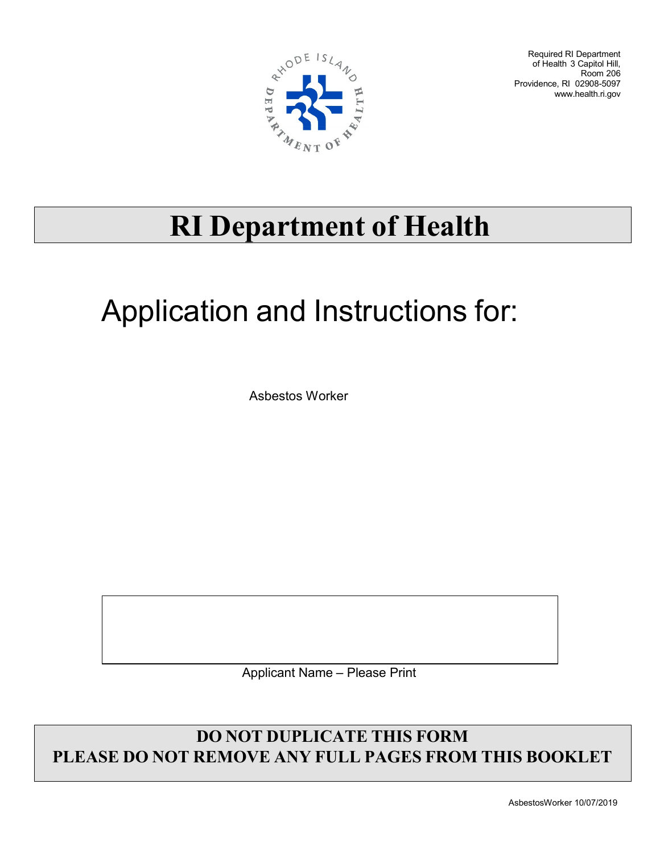

Required RI Department of Health 3 Capitol Hill, Room 206 Providence, RI 02908-5097 [www.health.ri.gov](http://www.health.ri.gov/)

## **RI Department of Health**

## Application and Instructions for:

Asbestos Worker

Applicant Name – Please Print

## **DO NOT DUPLICATE THIS FORM PLEASE DO NOT REMOVE ANY FULL PAGES FROM THIS BOOKLET**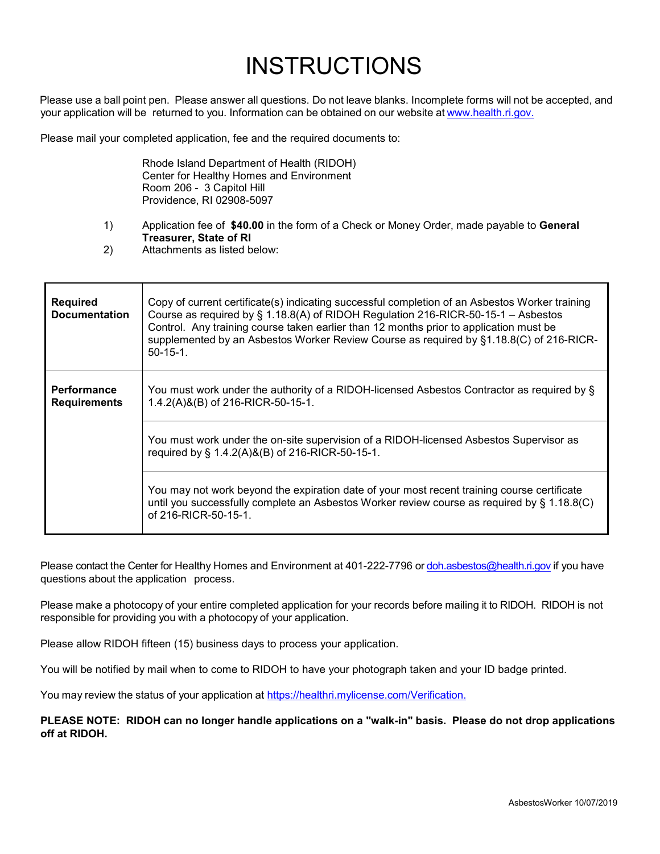## **INSTRUCTIONS**

 Please use a ball point pen. Please answer all questions. Do not leave blanks. Incomplete forms will not be accepted, and your application will be returned to you. Information can be obtained on our website at [www.health.ri.gov.](http://www.health.ri.gov/)

Please mail your completed application, fee and the required documents to:

Rhode Island Department of Health (RIDOH) Center for Healthy Homes and Environment Room 206 - 3 Capitol Hill Providence, RI 02908-5097

- 1) Application fee of **\$40.00** in the form of a Check or Money Order, made payable to **General Treasurer, State of RI**
- 2) Attachments as listed below:

| <b>Required</b><br><b>Documentation</b>   | Copy of current certificate(s) indicating successful completion of an Asbestos Worker training<br>Course as required by § 1.18.8(A) of RIDOH Regulation 216-RICR-50-15-1 - Asbestos<br>Control. Any training course taken earlier than 12 months prior to application must be<br>supplemented by an Asbestos Worker Review Course as required by §1.18.8(C) of 216-RICR-<br>$50-15-1$ . |
|-------------------------------------------|-----------------------------------------------------------------------------------------------------------------------------------------------------------------------------------------------------------------------------------------------------------------------------------------------------------------------------------------------------------------------------------------|
| <b>Performance</b><br><b>Requirements</b> | You must work under the authority of a RIDOH-licensed Asbestos Contractor as required by §<br>1.4.2(A)&(B) of 216-RICR-50-15-1.                                                                                                                                                                                                                                                         |
|                                           | You must work under the on-site supervision of a RIDOH-licensed Asbestos Supervisor as<br>required by § 1.4.2(A)&(B) of 216-RICR-50-15-1.                                                                                                                                                                                                                                               |
|                                           | You may not work beyond the expiration date of your most recent training course certificate<br>until you successfully complete an Asbestos Worker review course as required by § 1.18.8(C)<br>of 216-RICR-50-15-1.                                                                                                                                                                      |

Please contact the Center for Healthy Homes and Environment at 401-222-7796 or [doh.asbestos@health.ri.gov](mailto:doh.asbestos@health.ri.gov) if you have questions about the application process.

Please make a photocopy of your entire completed application for your records before mailing it to RIDOH. RIDOH is not responsible for providing you with a photocopy of your application.

Please allow RIDOH fifteen (15) business days to process your application.

You will be notified by mail when to come to RIDOH to have your photograph taken and your ID badge printed.

You may review the status of your application at [https://healthri.mylicense.com/Verification.](https://healthri.mylicense.com/Verification)

**PLEASE NOTE: RIDOH can no longer handle applications on a "walk-in" basis. Please do not drop applications off at RIDOH.**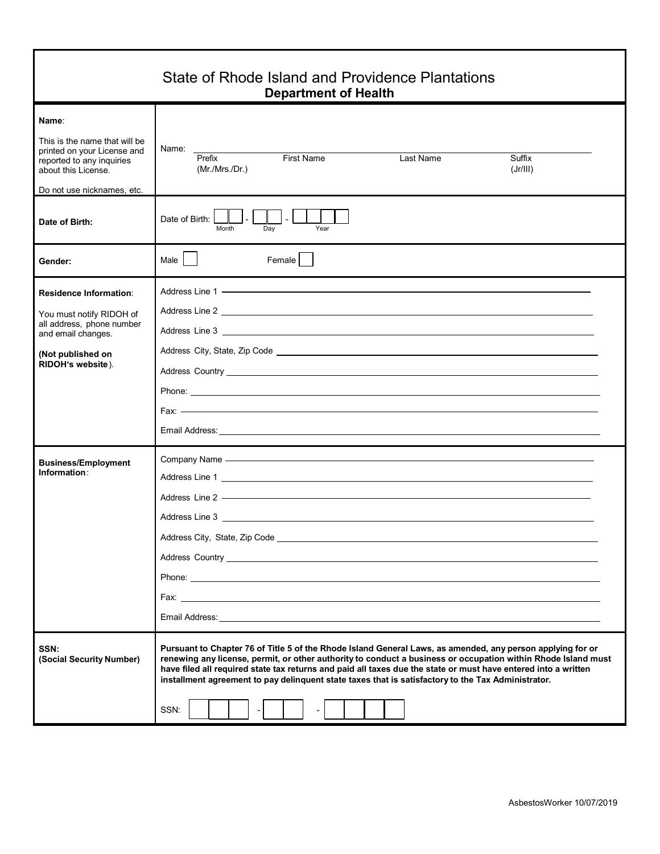| State of Rhode Island and Providence Plantations<br><b>Department of Health</b>                                                                         |                                                                                                                                                                                                                                                                                                                                                                                                                                                             |  |  |  |  |
|---------------------------------------------------------------------------------------------------------------------------------------------------------|-------------------------------------------------------------------------------------------------------------------------------------------------------------------------------------------------------------------------------------------------------------------------------------------------------------------------------------------------------------------------------------------------------------------------------------------------------------|--|--|--|--|
| Name:<br>This is the name that will be<br>printed on your License and<br>reported to any inquiries<br>about this License.<br>Do not use nicknames, etc. | Name:<br>First Name<br>Prefix<br>Last Name<br>Suffix<br>(Mr/Mrs/Dr.)<br>(Jr/III)                                                                                                                                                                                                                                                                                                                                                                            |  |  |  |  |
| Date of Birth:                                                                                                                                          | $\mathbf{I}$<br>$\mathsf{L}$<br>Date of Birth: I<br>Month<br>Year<br>Dav                                                                                                                                                                                                                                                                                                                                                                                    |  |  |  |  |
| <b>Gender:</b>                                                                                                                                          | Male  <br>Female                                                                                                                                                                                                                                                                                                                                                                                                                                            |  |  |  |  |
| <b>Residence Information:</b><br>You must notify RIDOH of<br>all address, phone number<br>and email changes.<br>(Not published on<br>RIDOH's website).  |                                                                                                                                                                                                                                                                                                                                                                                                                                                             |  |  |  |  |
|                                                                                                                                                         | Email Address: <u>Communications</u> of the contract of the contract of the contract of the contract of the contract of                                                                                                                                                                                                                                                                                                                                     |  |  |  |  |
| <b>Business/Employment</b><br>Information:                                                                                                              | Company Name - Company Name - Company Name - Company Name - Company Name - Company Name - Company Name - Company Name - Company of the United States of the United States of the United States of the United States of the Uni                                                                                                                                                                                                                              |  |  |  |  |
| SSN:<br>(Social Security Number)                                                                                                                        | Pursuant to Chapter 76 of Title 5 of the Rhode Island General Laws, as amended, any person applying for or<br>renewing any license, permit, or other authority to conduct a business or occupation within Rhode Island must<br>have filed all required state tax returns and paid all taxes due the state or must have entered into a written<br>installment agreement to pay delinquent state taxes that is satisfactory to the Tax Administrator.<br>SSN: |  |  |  |  |